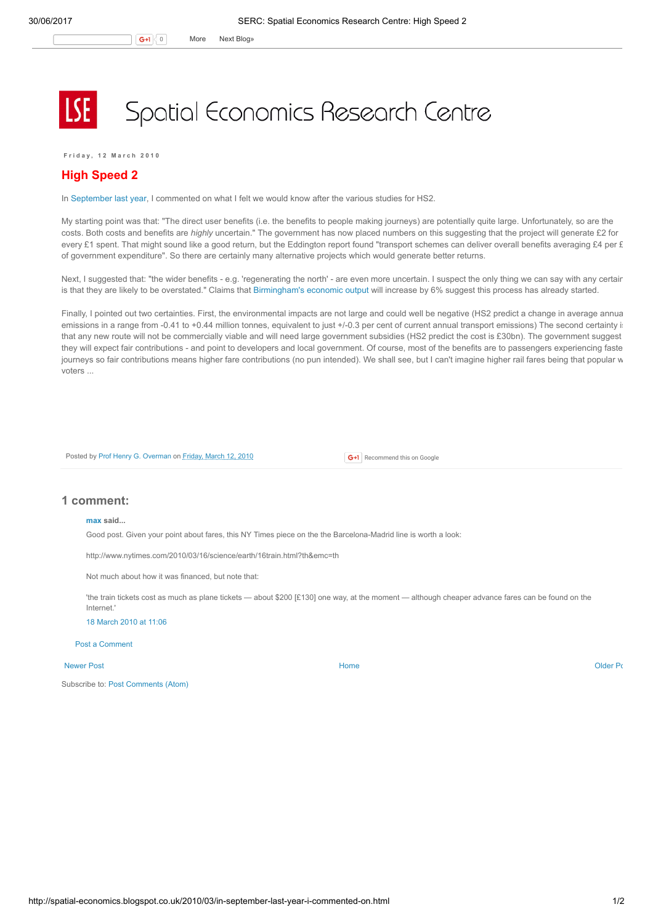## Spatial Economics Research Centre

Friday, 12 March 2010

## High Speed 2

In [September](http://spatial-economics.blogspot.com/2009/09/high-speed-rail.html) last year, I commented on what I felt we would know after the various studies for HS2.

My starting point was that: "The direct user benefits (i.e. the benefits to people making journeys) are potentially quite large. Unfortunately, so are the costs. Both costs and benefits are highly uncertain." The government has now placed numbers on this suggesting that the project will generate £2 for every £1 spent. That might sound like a good return, but the Eddington report found "transport schemes can deliver overall benefits averaging £4 per £ of government expenditure". So there are certainly many alternative projects which would generate better returns.

Next, I suggested that: "the wider benefits - e.g. 'regenerating the north' - are even more uncertain. I suspect the only thing we can say with any certair is that they are likely to be overstated." Claims that [Birmingham's](http://www.ft.com/cms/s/0/104a5ea4-2d62-11df-a262-00144feabdc0.html?nclick_check=1) economic output will increase by 6% suggest this process has already started.

Finally, I pointed out two certainties. First, the environmental impacts are not large and could well be negative (HS2 predict a change in average annual emissions in a range from -0.41 to +0.44 million tonnes, equivalent to just +/-0.3 per cent of current annual transport emissions) The second certainty is that any new route will not be commercially viable and will need large government subsidies (HS2 predict the cost is £30bn). The government suggest they will expect fair contributions - and point to developers and local government. Of course, most of the benefits are to passengers experiencing faste journeys so fair contributions means higher fare contributions (no pun intended). We shall see, but I can't imagine higher rail fares being that popular w voters ...

Posted by Prof Henry G. [Overman](https://www.blogger.com/profile/15203876610491317062) on [Friday,](http://spatial-economics.blogspot.co.uk/2010/03/in-september-last-year-i-commented-on.html) March 12, 2010

**G+1** Recommend this on Google

## 1 comment:

## [max](http://squareglasses.wordpress.com/) said...

Good post. Given your point about fares, this NY Times piece on the the Barcelona-Madrid line is worth a look:

http://www.nytimes.com/2010/03/16/science/earth/16train.html?th&emc=th

Not much about how it was financed, but note that:

'the train tickets cost as much as plane tickets — about \$200 [£130] one way, at the moment — although cheaper advance fares can be found on the Internet.'

18 [March](http://spatial-economics.blogspot.com/2010/03/in-september-last-year-i-commented-on.html?showComment=1268910365204#c5724211941918885956) 2010 at 11:06

Post a [Comment](https://www.blogger.com/comment.g?blogID=974562301377041914&postID=2745002021241462206)

[Newer](http://spatial-economics.blogspot.co.uk/2010/04/public-sector-relocation.html) Post and the contract of the contract of the contract [Home](http://spatial-economics.blogspot.co.uk/) contract of the contract of the contract of the contract of the contract of the contract of the contract of the contract of the contract of the contract of t

Subscribe to: Post [Comments](http://spatial-economics.blogspot.com/feeds/2745002021241462206/comments/default) (Atom)